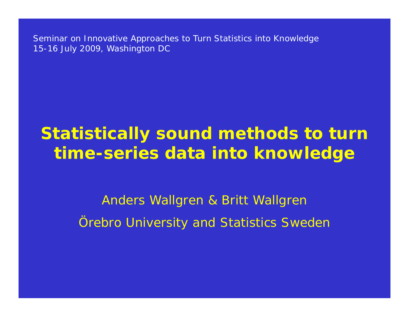Seminar on Innovative Approaches to Turn Statistics into Knowledge 15-16 July 2009, Washington DC

# **Statistically sound methods to turn time-series data into knowledge**

Anders Wallgren & Britt Wallgren *Örebro University and Statistics Sweden*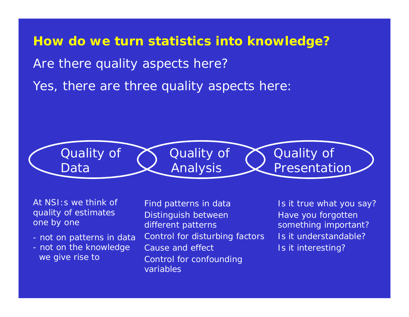#### **How do we turn statistics into knowledge?**

Are there quality aspects here?

Yes, there are three quality aspects here:



At NSI:s we think ofquality of estimates one by one

- not on patterns in data
- not on the knowledge we give rise to

Find patterns in data Distinguish between different patterns Control for disturbing factors Cause and effectControl for confounding variables

Is it true what you say? Have you forgotten something important? Is it understandable?Is it interesting?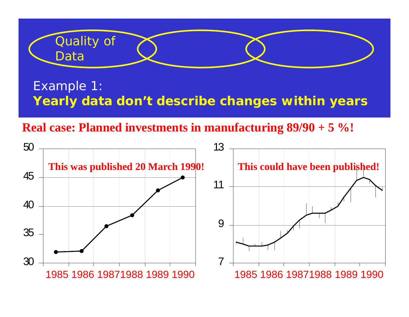

## Example 1: **Yearly data don't describe changes within years**

**Real case: Planned investments in manufacturing 89/90 + 5 %!**

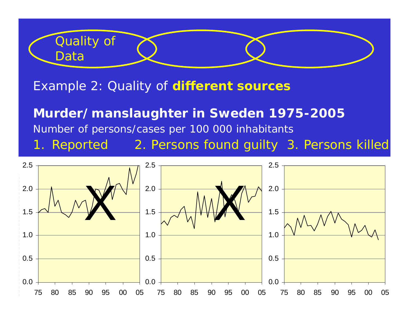

Example 2: Quality of **different sources**

**Murder/manslaughter in Sweden 1975-2005** Number of persons/cases per 100 000 inhabitants 1. Reported 2. Persons found guilty 3. Persons killed

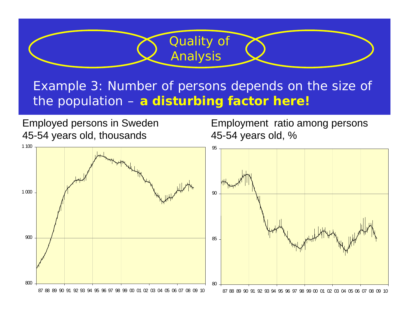## Example 3: Number of persons depends on the size of the population – **a disturbing factor here!**

Employment ratio among persons

Employed persons in Sweden

Quality of

Analysis

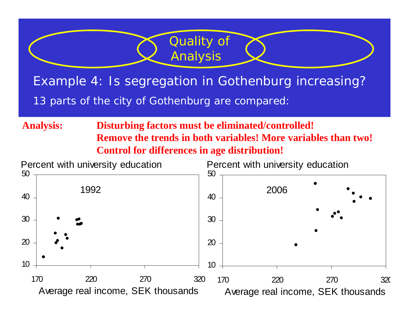## Example 4: Is segregation in Gothenburg increasing? *13 parts of the city of Gothenburg are compared:*

Quality of

Analysis

**Analysis: Disturbing factors must be eliminated/controlled! Remove the trends in both variables! More variables than two!Control for differences in age distribution!**

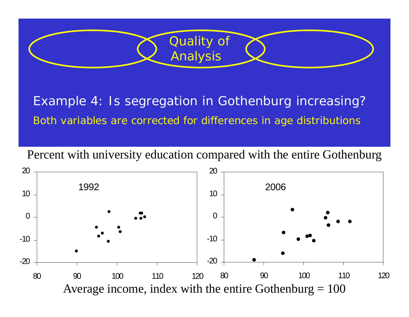

Example 4: Is segregation in Gothenburg increasing? *Both variables are corrected for differences in age distributions*

Percent with university education compared with the entire Gothenburg

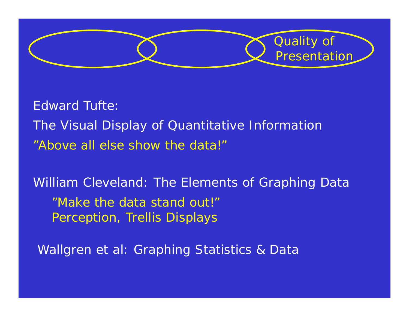

Edward Tufte:*The Visual Display of Quantitative Information*  "Above all else show the data!"

William Cleveland: *The Elements of Graphing Data* "Make the data stand out!" Perception, Trellis Displays

Wallgren et al: *Graphing Statistics & Data*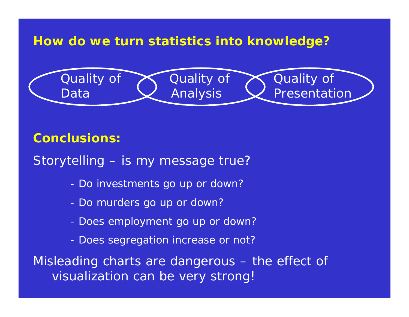### **How do we turn statistics into knowledge?**



#### **Conclusions:**

- Storytelling is my message true?
	- -Do investments go up or down?
	- -Do murders go up or down?
	- -Does employment go up or down?
	- -Does segregation increase or not?

Misleading charts are dangerous – the effect of visualization can be very strong!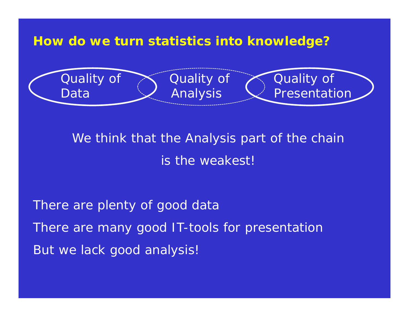**How do we turn statistics into knowledge?**



We think that the Analysis part of the chain is the weakest!

There are plenty of good data There are many good IT-tools for presentation But we lack good analysis!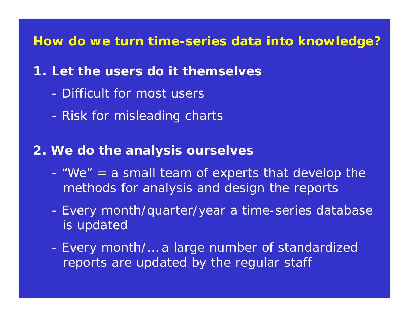**How do we turn** *time-series data* **into knowledge?**

## **1. Let the users do it themselves**

- Difficult for most users
- -Risk for misleading charts

#### **2. We do the analysis ourselves**

- - "We" = a small team of experts that develop the methods for analysis and design the reports
- - Every month/quarter/year a time-series database is updated
- - Every month/… a large number of standardized reports are updated by the regular staff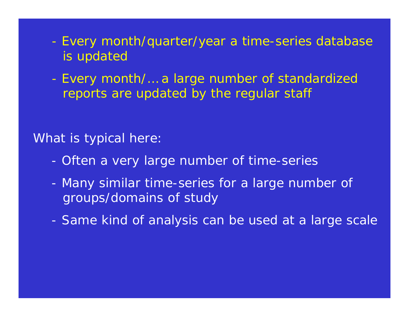- - Every month/quarter/year a time-series database is updated
- - Every month/… a large number of standardized reports are updated by the regular staff

#### What is typical here:

- -Often a very large number of time-series
- - Many similar time-series for a large number of groups/domains of study
- -Same kind of analysis can be used at a large scale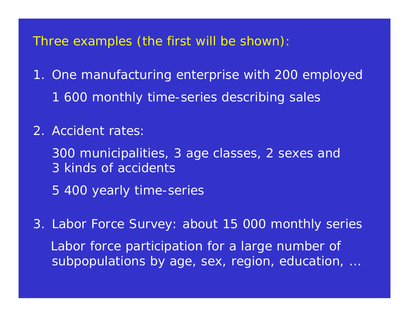Three examples (the first will be shown):

- 1. One manufacturing enterprise with 200 employed 1 600 monthly time-series describing sales
- 2. Accident rates:
	- 300 municipalities, 3 age classes, 2 sexes and 3 kinds of accidents
	- 5 400 yearly time-series
- 3. Labor Force Survey: about 15 000 monthly series Labor force participation for a large number of subpopulations by age, sex, region, education, …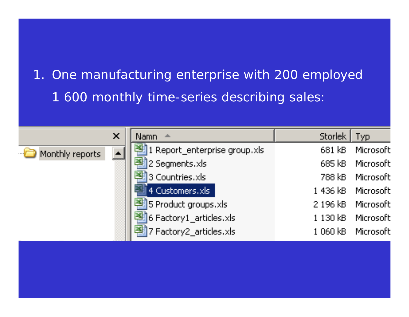## 1. One manufacturing enterprise with 200 employed 1 600 monthly time-series describing sales:

|                 | $\pmb{\times}$ | Namn A                                       | Storlek   Typ |                    |
|-----------------|----------------|----------------------------------------------|---------------|--------------------|
| Monthly reports |                | <sup>[4]</sup> 1 Report_enterprise group.xls | 681 kB i      | Microsoft          |
|                 |                | 中 2 Segments.xls                             | 685 kB        | Microsoft          |
|                 |                | <sup>[4]</sup> 3 Countries.xls               | 788 kB i      | Microsoft          |
|                 |                | 4 Customers.xls                              |               | 1 436 kB Microsoft |
|                 |                | 图 5 Product groups.xls                       |               | 2 196 kB Microsoft |
|                 |                | 图 6 Factory1_articles.xls                    | 1130kB        | Microsoft          |
|                 |                | 图 7 Factory2_articles.xls                    | $1060$ $kB$ . | Microsoft          |
|                 |                |                                              |               |                    |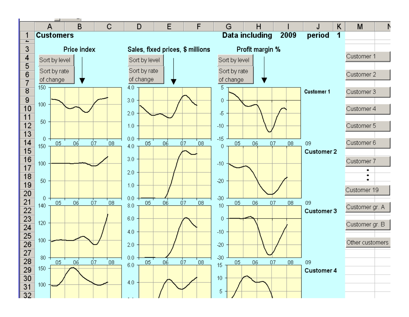